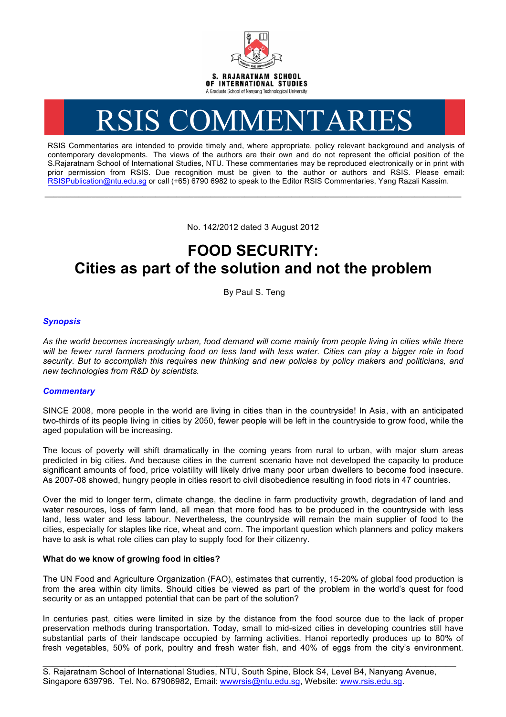

# RSIS COMMENTARIES

RSIS Commentaries are intended to provide timely and, where appropriate, policy relevant background and analysis of contemporary developments. The views of the authors are their own and do not represent the official position of the S.Rajaratnam School of International Studies, NTU. These commentaries may be reproduced electronically or in print with prior permission from RSIS. Due recognition must be given to the author or authors and RSIS. Please email: RSISPublication@ntu.edu.sg or call (+65) 6790 6982 to speak to the Editor RSIS Commentaries, Yang Razali Kassim.

No. 142/2012 dated 3 August 2012

**\_\_\_\_\_\_\_\_\_\_\_\_\_\_\_\_\_\_\_\_\_\_\_\_\_\_\_\_\_\_\_\_\_\_\_\_\_\_\_\_\_\_\_\_\_\_\_\_\_\_\_\_\_\_\_\_\_\_\_\_\_\_\_\_\_\_\_\_\_\_\_\_\_\_\_\_\_\_\_\_\_\_\_\_\_\_\_\_\_\_\_\_\_\_\_\_\_\_**

## **FOOD SECURITY: Cities as part of the solution and not the problem**

By Paul S. Teng

### *Synopsis*

*As the world becomes increasingly urban, food demand will come mainly from people living in cities while there will be fewer rural farmers producing food on less land with less water. Cities can play a bigger role in food security. But to accomplish this requires new thinking and new policies by policy makers and politicians, and new technologies from R&D by scientists.*

#### *Commentary*

SINCE 2008, more people in the world are living in cities than in the countryside! In Asia, with an anticipated two-thirds of its people living in cities by 2050, fewer people will be left in the countryside to grow food, while the aged population will be increasing.

The locus of poverty will shift dramatically in the coming years from rural to urban, with major slum areas predicted in big cities. And because cities in the current scenario have not developed the capacity to produce significant amounts of food, price volatility will likely drive many poor urban dwellers to become food insecure. As 2007-08 showed, hungry people in cities resort to civil disobedience resulting in food riots in 47 countries.

Over the mid to longer term, climate change, the decline in farm productivity growth, degradation of land and water resources, loss of farm land, all mean that more food has to be produced in the countryside with less land, less water and less labour. Nevertheless, the countryside will remain the main supplier of food to the cities, especially for staples like rice, wheat and corn. The important question which planners and policy makers have to ask is what role cities can play to supply food for their citizenry.

#### **What do we know of growing food in cities?**

The UN Food and Agriculture Organization (FAO), estimates that currently, 15-20% of global food production is from the area within city limits. Should cities be viewed as part of the problem in the world's quest for food security or as an untapped potential that can be part of the solution?

In centuries past, cities were limited in size by the distance from the food source due to the lack of proper preservation methods during transportation. Today, small to mid-sized cities in developing countries still have substantial parts of their landscape occupied by farming activities. Hanoi reportedly produces up to 80% of fresh vegetables, 50% of pork, poultry and fresh water fish, and 40% of eggs from the city's environment.

\_\_\_\_\_\_\_\_\_\_\_\_\_\_\_\_\_\_\_\_\_\_\_\_\_\_\_\_\_\_\_\_\_\_\_\_\_\_\_\_\_\_\_\_\_\_\_\_\_\_\_\_\_\_\_\_\_\_\_\_\_\_\_\_\_\_\_\_\_\_\_\_\_\_\_\_\_\_\_\_\_ S. Rajaratnam School of International Studies, NTU, South Spine, Block S4, Level B4, Nanyang Avenue, Singapore 639798. Tel. No. 67906982, Email: wwwrsis@ntu.edu.sg, Website: www.rsis.edu.sg.